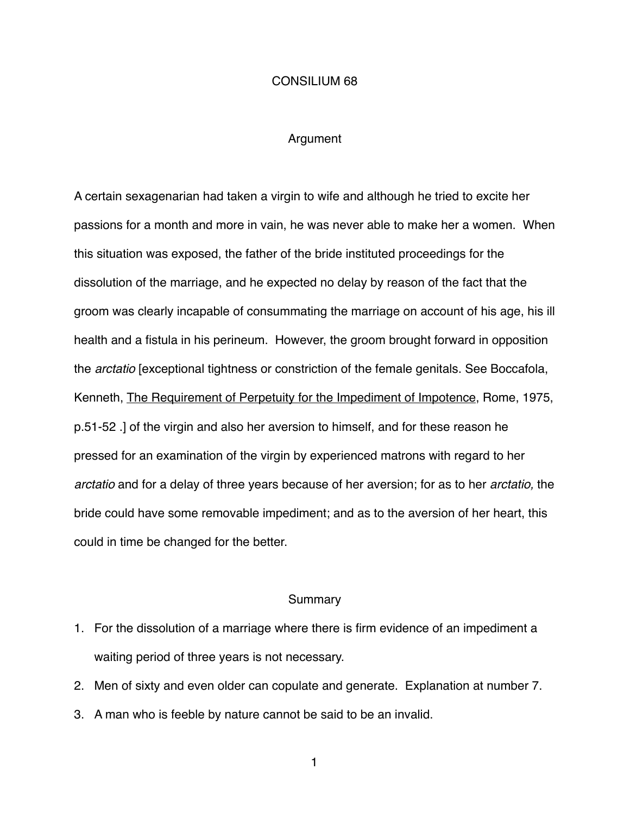## CONSILIUM 68

## Argument

A certain sexagenarian had taken a virgin to wife and although he tried to excite her passions for a month and more in vain, he was never able to make her a women. When this situation was exposed, the father of the bride instituted proceedings for the dissolution of the marriage, and he expected no delay by reason of the fact that the groom was clearly incapable of consummating the marriage on account of his age, his ill health and a fistula in his perineum. However, the groom brought forward in opposition the *arctatio* [exceptional tightness or constriction of the female genitals. See Boccafola, Kenneth, The Requirement of Perpetuity for the Impediment of Impotence, Rome, 1975, p.51-52 .] of the virgin and also her aversion to himself, and for these reason he pressed for an examination of the virgin by experienced matrons with regard to her *arctatio* and for a delay of three years because of her aversion; for as to her *arctatio,* the bride could have some removable impediment; and as to the aversion of her heart, this could in time be changed for the better.

## Summary

- 1. For the dissolution of a marriage where there is firm evidence of an impediment a waiting period of three years is not necessary.
- 2. Men of sixty and even older can copulate and generate. Explanation at number 7.
- 3. A man who is feeble by nature cannot be said to be an invalid.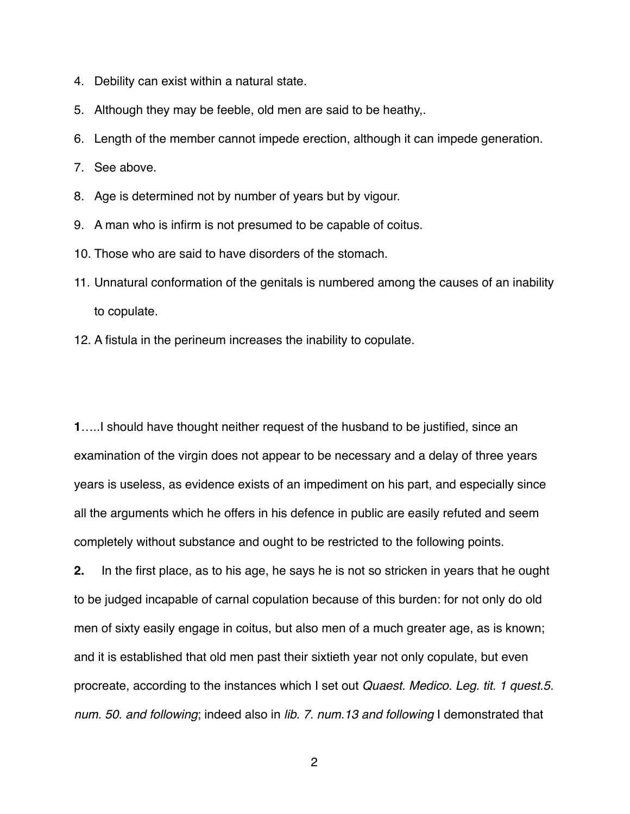- 4. Debility can exist within a natural state.
- 5. Although they may be feeble, old men are said to be heathy,.
- 6. Length of the member cannot impede erection, although it can impede generation.
- 7. See above.
- 8. Age is determined not by number of years but by vigour.
- 9. A man who is infirm is not presumed to be capable of coitus.
- 10. Those who are said to have disorders of the stomach.
- 11. Unnatural conformation of the genitals is numbered among the causes of an inability to copulate.
- 12. A fistula in the perineum increases the inability to copulate.

**1**…..I should have thought neither request of the husband to be justified, since an examination of the virgin does not appear to be necessary and a delay of three years years is useless, as evidence exists of an impediment on his part, and especially since all the arguments which he offers in his defence in public are easily refuted and seem completely without substance and ought to be restricted to the following points.

**2.** In the first place, as to his age, he says he is not so stricken in years that he ought to be judged incapable of carnal copulation because of this burden: for not only do old men of sixty easily engage in coitus, but also men of a much greater age, as is known; and it is established that old men past their sixtieth year not only copulate, but even procreate, according to the instances which I set out *Quaest. Medico. Leg. tit. 1 quest.5. num. 50. and following*; indeed also in *lib. 7. num.13 and following* I demonstrated that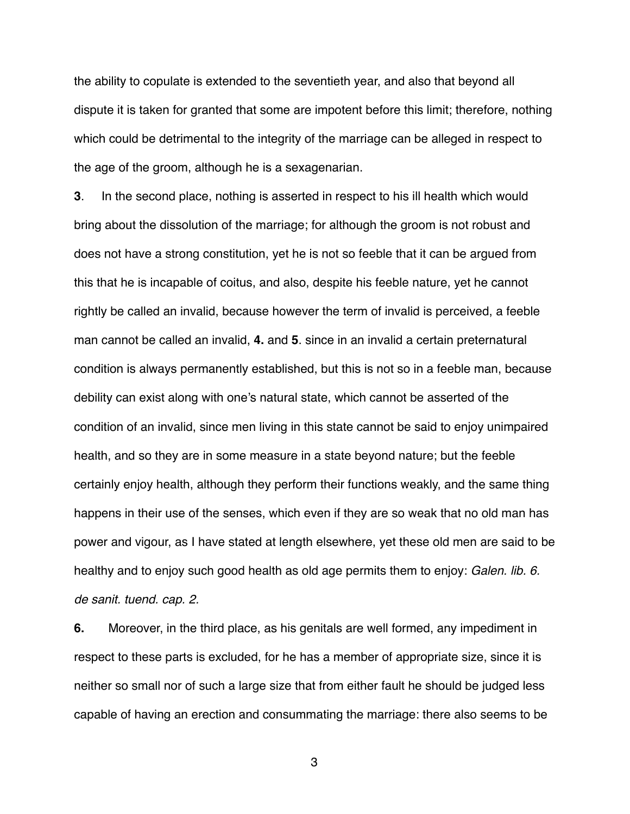the ability to copulate is extended to the seventieth year, and also that beyond all dispute it is taken for granted that some are impotent before this limit; therefore, nothing which could be detrimental to the integrity of the marriage can be alleged in respect to the age of the groom, although he is a sexagenarian.

**3**. In the second place, nothing is asserted in respect to his ill health which would bring about the dissolution of the marriage; for although the groom is not robust and does not have a strong constitution, yet he is not so feeble that it can be argued from this that he is incapable of coitus, and also, despite his feeble nature, yet he cannot rightly be called an invalid, because however the term of invalid is perceived, a feeble man cannot be called an invalid, **4.** and **5**. since in an invalid a certain preternatural condition is always permanently established, but this is not so in a feeble man, because debility can exist along with one's natural state, which cannot be asserted of the condition of an invalid, since men living in this state cannot be said to enjoy unimpaired health, and so they are in some measure in a state beyond nature; but the feeble certainly enjoy health, although they perform their functions weakly, and the same thing happens in their use of the senses, which even if they are so weak that no old man has power and vigour, as I have stated at length elsewhere, yet these old men are said to be healthy and to enjoy such good health as old age permits them to enjoy: *Galen. lib. 6. de sanit. tuend. cap. 2.*

**6.** Moreover, in the third place, as his genitals are well formed, any impediment in respect to these parts is excluded, for he has a member of appropriate size, since it is neither so small nor of such a large size that from either fault he should be judged less capable of having an erection and consummating the marriage: there also seems to be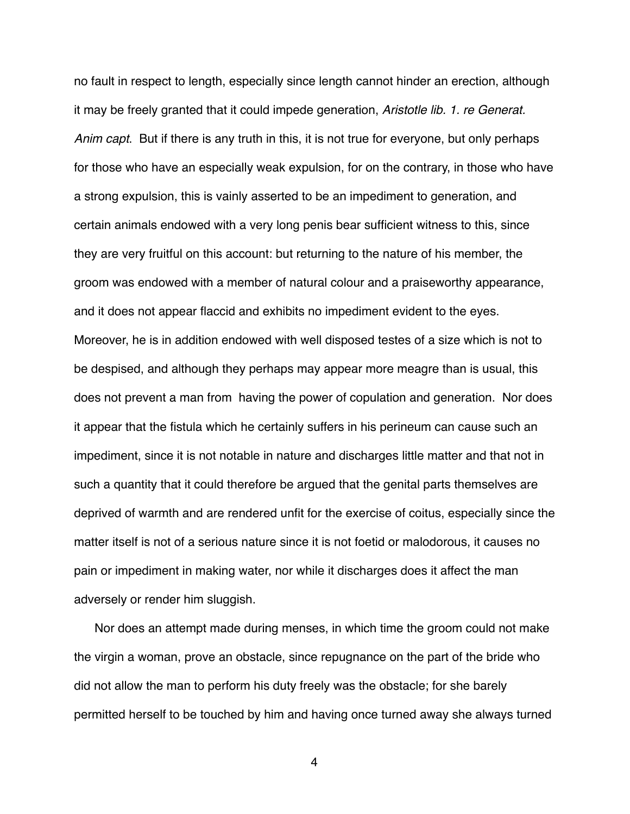no fault in respect to length, especially since length cannot hinder an erection, although it may be freely granted that it could impede generation, *Aristotle lib. 1. re Generat. Anim capt*. But if there is any truth in this, it is not true for everyone, but only perhaps for those who have an especially weak expulsion, for on the contrary, in those who have a strong expulsion, this is vainly asserted to be an impediment to generation, and certain animals endowed with a very long penis bear sufficient witness to this, since they are very fruitful on this account: but returning to the nature of his member, the groom was endowed with a member of natural colour and a praiseworthy appearance, and it does not appear flaccid and exhibits no impediment evident to the eyes. Moreover, he is in addition endowed with well disposed testes of a size which is not to be despised, and although they perhaps may appear more meagre than is usual, this does not prevent a man from having the power of copulation and generation. Nor does it appear that the fistula which he certainly suffers in his perineum can cause such an impediment, since it is not notable in nature and discharges little matter and that not in such a quantity that it could therefore be argued that the genital parts themselves are deprived of warmth and are rendered unfit for the exercise of coitus, especially since the matter itself is not of a serious nature since it is not foetid or malodorous, it causes no pain or impediment in making water, nor while it discharges does it affect the man adversely or render him sluggish.

 Nor does an attempt made during menses, in which time the groom could not make the virgin a woman, prove an obstacle, since repugnance on the part of the bride who did not allow the man to perform his duty freely was the obstacle; for she barely permitted herself to be touched by him and having once turned away she always turned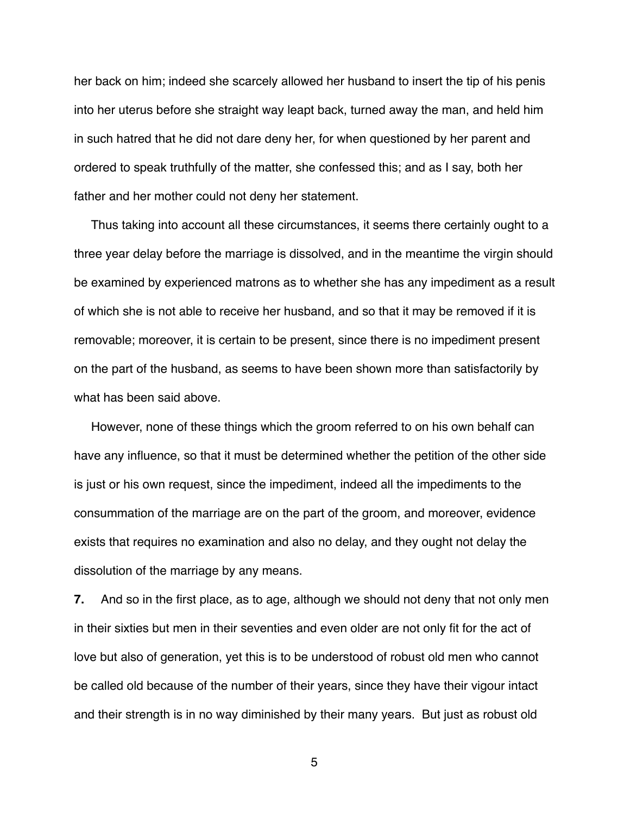her back on him; indeed she scarcely allowed her husband to insert the tip of his penis into her uterus before she straight way leapt back, turned away the man, and held him in such hatred that he did not dare deny her, for when questioned by her parent and ordered to speak truthfully of the matter, she confessed this; and as I say, both her father and her mother could not deny her statement.

 Thus taking into account all these circumstances, it seems there certainly ought to a three year delay before the marriage is dissolved, and in the meantime the virgin should be examined by experienced matrons as to whether she has any impediment as a result of which she is not able to receive her husband, and so that it may be removed if it is removable; moreover, it is certain to be present, since there is no impediment present on the part of the husband, as seems to have been shown more than satisfactorily by what has been said above.

 However, none of these things which the groom referred to on his own behalf can have any influence, so that it must be determined whether the petition of the other side is just or his own request, since the impediment, indeed all the impediments to the consummation of the marriage are on the part of the groom, and moreover, evidence exists that requires no examination and also no delay, and they ought not delay the dissolution of the marriage by any means.

**7.** And so in the first place, as to age, although we should not deny that not only men in their sixties but men in their seventies and even older are not only fit for the act of love but also of generation, yet this is to be understood of robust old men who cannot be called old because of the number of their years, since they have their vigour intact and their strength is in no way diminished by their many years. But just as robust old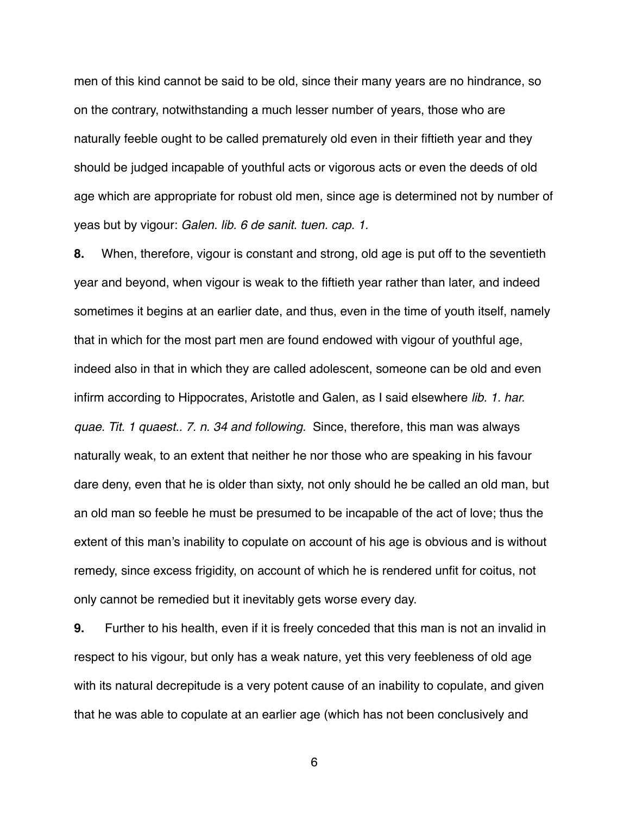men of this kind cannot be said to be old, since their many years are no hindrance, so on the contrary, notwithstanding a much lesser number of years, those who are naturally feeble ought to be called prematurely old even in their fiftieth year and they should be judged incapable of youthful acts or vigorous acts or even the deeds of old age which are appropriate for robust old men, since age is determined not by number of yeas but by vigour: *Galen. lib. 6 de sanit. tuen. cap. 1.*

**8.** When, therefore, vigour is constant and strong, old age is put off to the seventieth year and beyond, when vigour is weak to the fiftieth year rather than later, and indeed sometimes it begins at an earlier date, and thus, even in the time of youth itself, namely that in which for the most part men are found endowed with vigour of youthful age, indeed also in that in which they are called adolescent, someone can be old and even infirm according to Hippocrates, Aristotle and Galen, as I said elsewhere *lib. 1. har. quae. Tit. 1 quaest.. 7. n. 34 and following.* Since, therefore, this man was always naturally weak, to an extent that neither he nor those who are speaking in his favour dare deny, even that he is older than sixty, not only should he be called an old man, but an old man so feeble he must be presumed to be incapable of the act of love; thus the extent of this man's inability to copulate on account of his age is obvious and is without remedy, since excess frigidity, on account of which he is rendered unfit for coitus, not only cannot be remedied but it inevitably gets worse every day.

**9.** Further to his health, even if it is freely conceded that this man is not an invalid in respect to his vigour, but only has a weak nature, yet this very feebleness of old age with its natural decrepitude is a very potent cause of an inability to copulate, and given that he was able to copulate at an earlier age (which has not been conclusively and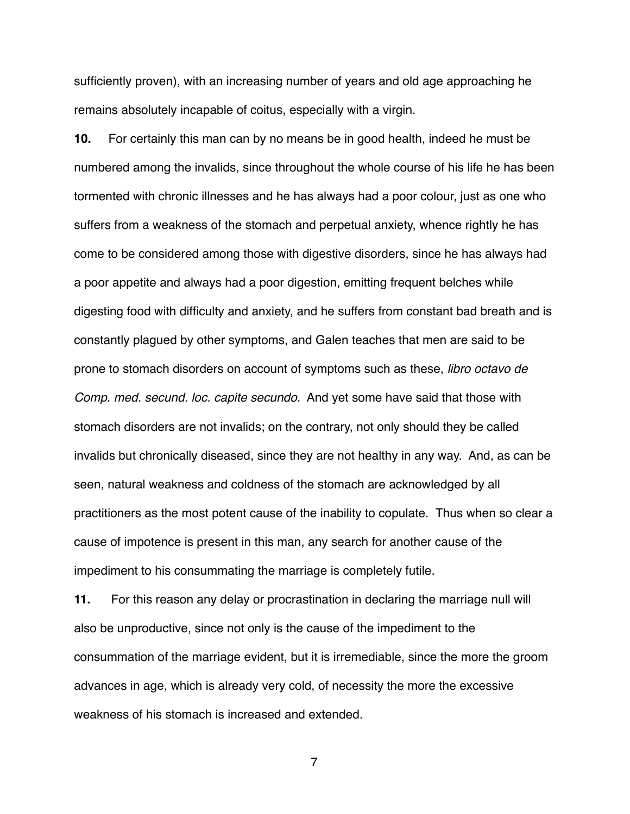sufficiently proven), with an increasing number of years and old age approaching he remains absolutely incapable of coitus, especially with a virgin.

**10.** For certainly this man can by no means be in good health, indeed he must be numbered among the invalids, since throughout the whole course of his life he has been tormented with chronic illnesses and he has always had a poor colour, just as one who suffers from a weakness of the stomach and perpetual anxiety, whence rightly he has come to be considered among those with digestive disorders, since he has always had a poor appetite and always had a poor digestion, emitting frequent belches while digesting food with difficulty and anxiety, and he suffers from constant bad breath and is constantly plagued by other symptoms, and Galen teaches that men are said to be prone to stomach disorders on account of symptoms such as these, *libro octavo de Comp. med. secund. loc. capite secundo.* And yet some have said that those with stomach disorders are not invalids; on the contrary, not only should they be called invalids but chronically diseased, since they are not healthy in any way. And, as can be seen, natural weakness and coldness of the stomach are acknowledged by all practitioners as the most potent cause of the inability to copulate. Thus when so clear a cause of impotence is present in this man, any search for another cause of the impediment to his consummating the marriage is completely futile.

**11.** For this reason any delay or procrastination in declaring the marriage null will also be unproductive, since not only is the cause of the impediment to the consummation of the marriage evident, but it is irremediable, since the more the groom advances in age, which is already very cold, of necessity the more the excessive weakness of his stomach is increased and extended.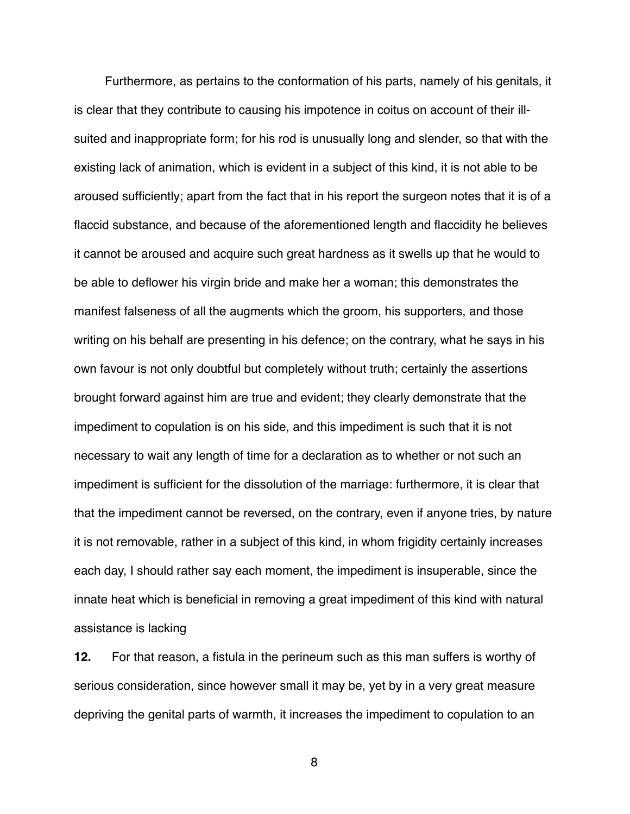Furthermore, as pertains to the conformation of his parts, namely of his genitals, it is clear that they contribute to causing his impotence in coitus on account of their illsuited and inappropriate form; for his rod is unusually long and slender, so that with the existing lack of animation, which is evident in a subject of this kind, it is not able to be aroused sufficiently; apart from the fact that in his report the surgeon notes that it is of a flaccid substance, and because of the aforementioned length and flaccidity he believes it cannot be aroused and acquire such great hardness as it swells up that he would to be able to deflower his virgin bride and make her a woman; this demonstrates the manifest falseness of all the augments which the groom, his supporters, and those writing on his behalf are presenting in his defence; on the contrary, what he says in his own favour is not only doubtful but completely without truth; certainly the assertions brought forward against him are true and evident; they clearly demonstrate that the impediment to copulation is on his side, and this impediment is such that it is not necessary to wait any length of time for a declaration as to whether or not such an impediment is sufficient for the dissolution of the marriage: furthermore, it is clear that that the impediment cannot be reversed, on the contrary, even if anyone tries, by nature it is not removable, rather in a subject of this kind, in whom frigidity certainly increases each day, I should rather say each moment, the impediment is insuperable, since the innate heat which is beneficial in removing a great impediment of this kind with natural assistance is lacking

**12.** For that reason, a fistula in the perineum such as this man suffers is worthy of serious consideration, since however small it may be, yet by in a very great measure depriving the genital parts of warmth, it increases the impediment to copulation to an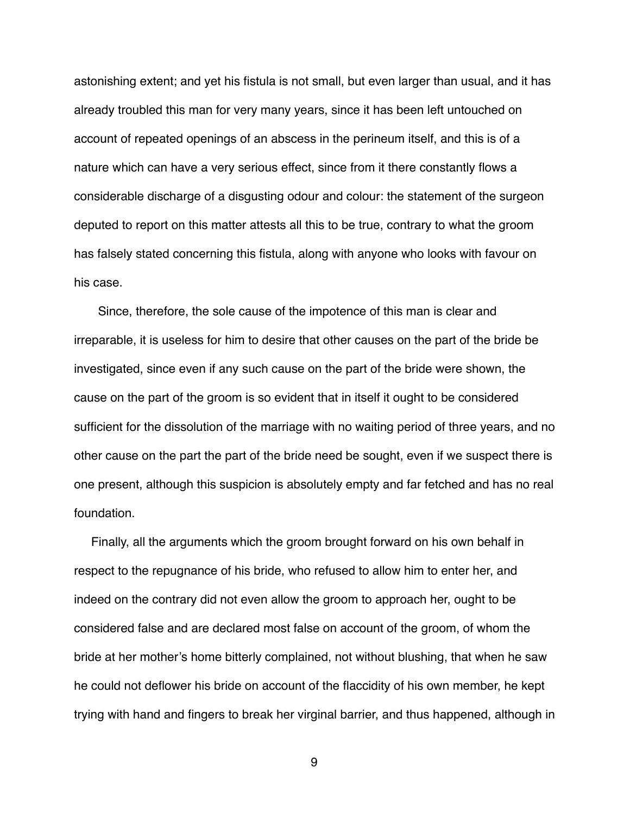astonishing extent; and yet his fistula is not small, but even larger than usual, and it has already troubled this man for very many years, since it has been left untouched on account of repeated openings of an abscess in the perineum itself, and this is of a nature which can have a very serious effect, since from it there constantly flows a considerable discharge of a disgusting odour and colour: the statement of the surgeon deputed to report on this matter attests all this to be true, contrary to what the groom has falsely stated concerning this fistula, along with anyone who looks with favour on his case.

 Since, therefore, the sole cause of the impotence of this man is clear and irreparable, it is useless for him to desire that other causes on the part of the bride be investigated, since even if any such cause on the part of the bride were shown, the cause on the part of the groom is so evident that in itself it ought to be considered sufficient for the dissolution of the marriage with no waiting period of three years, and no other cause on the part the part of the bride need be sought, even if we suspect there is one present, although this suspicion is absolutely empty and far fetched and has no real foundation.

 Finally, all the arguments which the groom brought forward on his own behalf in respect to the repugnance of his bride, who refused to allow him to enter her, and indeed on the contrary did not even allow the groom to approach her, ought to be considered false and are declared most false on account of the groom, of whom the bride at her mother's home bitterly complained, not without blushing, that when he saw he could not deflower his bride on account of the flaccidity of his own member, he kept trying with hand and fingers to break her virginal barrier, and thus happened, although in